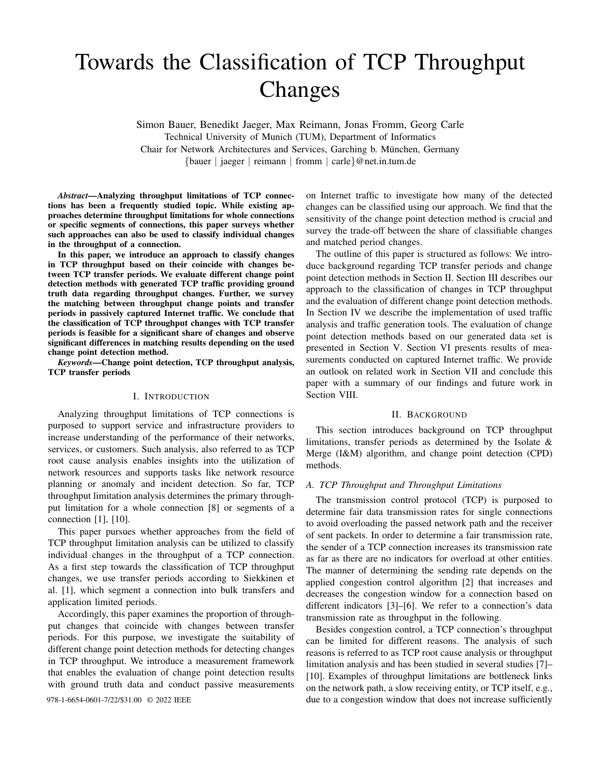# Towards the Classification of TCP Throughput Changes

Simon Bauer, Benedikt Jaeger, Max Reimann, Jonas Fromm, Georg Carle Technical University of Munich (TUM), Department of Informatics Chair for Network Architectures and Services, Garching b. Munchen, Germany ¨ {bauer | jaeger | reimann | fromm | carle}@net.in.tum.de

*Abstract*—Analyzing throughput limitations of TCP connections has been a frequently studied topic. While existing approaches determine throughput limitations for whole connections or specific segments of connections, this paper surveys whether such approaches can also be used to classify individual changes in the throughput of a connection.

In this paper, we introduce an approach to classify changes in TCP throughput based on their coincide with changes between TCP transfer periods. We evaluate different change point detection methods with generated TCP traffic providing ground truth data regarding throughput changes. Further, we survey the matching between throughput change points and transfer periods in passively captured Internet traffic. We conclude that the classification of TCP throughput changes with TCP transfer periods is feasible for a significant share of changes and observe significant differences in matching results depending on the used change point detection method.

*Keywords*—Change point detection, TCP throughput analysis, TCP transfer periods

#### I. INTRODUCTION

Analyzing throughput limitations of TCP connections is purposed to support service and infrastructure providers to increase understanding of the performance of their networks, services, or customers. Such analysis, also referred to as TCP root cause analysis enables insights into the utilization of network resources and supports tasks like network resource planning or anomaly and incident detection. So far, TCP throughput limitation analysis determines the primary throughput limitation for a whole connection [8] or segments of a connection [1], [10].

This paper pursues whether approaches from the field of TCP throughput limitation analysis can be utilized to classify individual changes in the throughput of a TCP connection. As a first step towards the classification of TCP throughput changes, we use transfer periods according to Siekkinen et al. [1], which segment a connection into bulk transfers and application limited periods.

Accordingly, this paper examines the proportion of throughput changes that coincide with changes between transfer periods. For this purpose, we investigate the suitability of different change point detection methods for detecting changes in TCP throughput. We introduce a measurement framework that enables the evaluation of change point detection results with ground truth data and conduct passive measurements

on Internet traffic to investigate how many of the detected changes can be classified using our approach. We find that the sensitivity of the change point detection method is crucial and survey the trade-off between the share of classifiable changes and matched period changes.

The outline of this paper is structured as follows: We introduce background regarding TCP transfer periods and change point detection methods in Section II. Section III describes our approach to the classification of changes in TCP throughput and the evaluation of different change point detection methods. In Section IV we describe the implementation of used traffic analysis and traffic generation tools. The evaluation of change point detection methods based on our generated data set is presented in Section V. Section VI presents results of measurements conducted on captured Internet traffic. We provide an outlook on related work in Section VII and conclude this paper with a summary of our findings and future work in Section VIII.

#### II. BACKGROUND

This section introduces background on TCP throughput limitations, transfer periods as determined by the Isolate & Merge (I&M) algorithm, and change point detection (CPD) methods.

#### *A. TCP Throughput and Throughput Limitations*

The transmission control protocol (TCP) is purposed to determine fair data transmission rates for single connections to avoid overloading the passed network path and the receiver of sent packets. In order to determine a fair transmission rate, the sender of a TCP connection increases its transmission rate as far as there are no indicators for overload at other entities. The manner of determining the sending rate depends on the applied congestion control algorithm [2] that increases and decreases the congestion window for a connection based on different indicators [3]–[6]. We refer to a connection's data transmission rate as throughput in the following.

Besides congestion control, a TCP connection's throughput can be limited for different reasons. The analysis of such reasons is referred to as TCP root cause analysis or throughput limitation analysis and has been studied in several studies [7]– [10]. Examples of throughput limitations are bottleneck links on the network path, a slow receiving entity, or TCP itself, e.g., 978-1-6654-0601-7/22/\$31.00 © 2022 IEEE due to a congestion window that does not increase sufficiently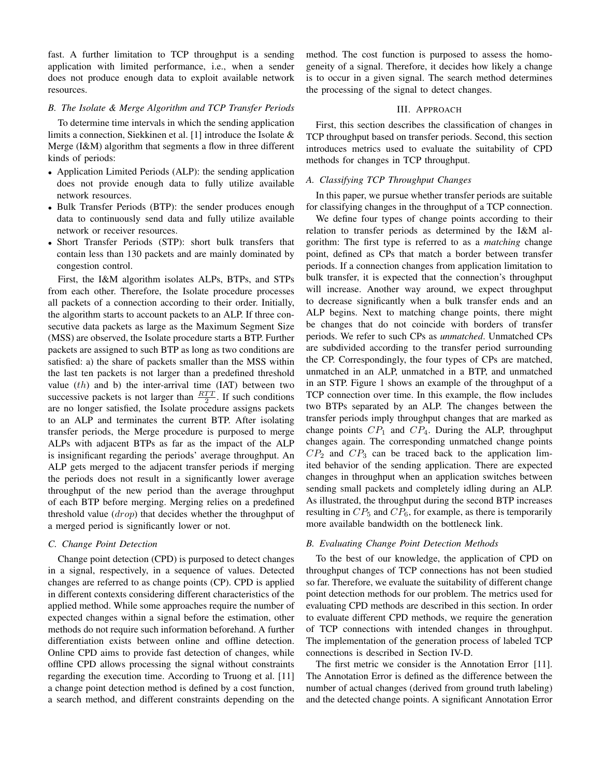fast. A further limitation to TCP throughput is a sending application with limited performance, i.e., when a sender does not produce enough data to exploit available network resources.

## *B. The Isolate & Merge Algorithm and TCP Transfer Periods*

To determine time intervals in which the sending application limits a connection, Siekkinen et al. [1] introduce the Isolate & Merge (I&M) algorithm that segments a flow in three different kinds of periods:

- Application Limited Periods (ALP): the sending application does not provide enough data to fully utilize available network resources.
- Bulk Transfer Periods (BTP): the sender produces enough data to continuously send data and fully utilize available network or receiver resources.
- Short Transfer Periods (STP): short bulk transfers that contain less than 130 packets and are mainly dominated by congestion control.

First, the I&M algorithm isolates ALPs, BTPs, and STPs from each other. Therefore, the Isolate procedure processes all packets of a connection according to their order. Initially, the algorithm starts to account packets to an ALP. If three consecutive data packets as large as the Maximum Segment Size (MSS) are observed, the Isolate procedure starts a BTP. Further packets are assigned to such BTP as long as two conditions are satisfied: a) the share of packets smaller than the MSS within the last ten packets is not larger than a predefined threshold value  $(th)$  and b) the inter-arrival time  $(IAT)$  between two successive packets is not larger than  $\frac{RTT}{2}$ . If such conditions are no longer satisfied, the Isolate procedure assigns packets to an ALP and terminates the current BTP. After isolating transfer periods, the Merge procedure is purposed to merge ALPs with adjacent BTPs as far as the impact of the ALP is insignificant regarding the periods' average throughput. An ALP gets merged to the adjacent transfer periods if merging the periods does not result in a significantly lower average throughput of the new period than the average throughput of each BTP before merging. Merging relies on a predefined threshold value (*drop*) that decides whether the throughput of a merged period is significantly lower or not.

## *C. Change Point Detection*

Change point detection (CPD) is purposed to detect changes in a signal, respectively, in a sequence of values. Detected changes are referred to as change points (CP). CPD is applied in different contexts considering different characteristics of the applied method. While some approaches require the number of expected changes within a signal before the estimation, other methods do not require such information beforehand. A further differentiation exists between online and offline detection. Online CPD aims to provide fast detection of changes, while offline CPD allows processing the signal without constraints regarding the execution time. According to Truong et al. [11] a change point detection method is defined by a cost function, a search method, and different constraints depending on the method. The cost function is purposed to assess the homogeneity of a signal. Therefore, it decides how likely a change is to occur in a given signal. The search method determines the processing of the signal to detect changes.

#### III. APPROACH

First, this section describes the classification of changes in TCP throughput based on transfer periods. Second, this section introduces metrics used to evaluate the suitability of CPD methods for changes in TCP throughput.

## *A. Classifying TCP Throughput Changes*

In this paper, we pursue whether transfer periods are suitable for classifying changes in the throughput of a TCP connection.

We define four types of change points according to their relation to transfer periods as determined by the I&M algorithm: The first type is referred to as a *matching* change point, defined as CPs that match a border between transfer periods. If a connection changes from application limitation to bulk transfer, it is expected that the connection's throughput will increase. Another way around, we expect throughput to decrease significantly when a bulk transfer ends and an ALP begins. Next to matching change points, there might be changes that do not coincide with borders of transfer periods. We refer to such CPs as *unmatched*. Unmatched CPs are subdivided according to the transfer period surrounding the CP. Correspondingly, the four types of CPs are matched, unmatched in an ALP, unmatched in a BTP, and unmatched in an STP. Figure 1 shows an example of the throughput of a TCP connection over time. In this example, the flow includes two BTPs separated by an ALP. The changes between the transfer periods imply throughput changes that are marked as change points  $CP_1$  and  $CP_4$ . During the ALP, throughput changes again. The corresponding unmatched change points  $CP<sub>2</sub>$  and  $CP<sub>3</sub>$  can be traced back to the application limited behavior of the sending application. There are expected changes in throughput when an application switches between sending small packets and completely idling during an ALP. As illustrated, the throughput during the second BTP increases resulting in  $CP_5$  and  $CP_6$ , for example, as there is temporarily more available bandwidth on the bottleneck link.

#### *B. Evaluating Change Point Detection Methods*

To the best of our knowledge, the application of CPD on throughput changes of TCP connections has not been studied so far. Therefore, we evaluate the suitability of different change point detection methods for our problem. The metrics used for evaluating CPD methods are described in this section. In order to evaluate different CPD methods, we require the generation of TCP connections with intended changes in throughput. The implementation of the generation process of labeled TCP connections is described in Section IV-D.

The first metric we consider is the Annotation Error [11]. The Annotation Error is defined as the difference between the number of actual changes (derived from ground truth labeling) and the detected change points. A significant Annotation Error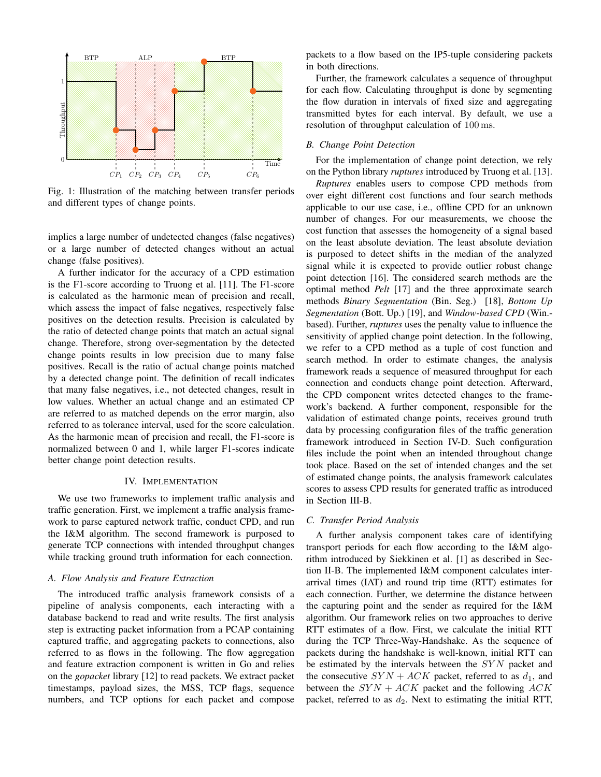

Fig. 1: Illustration of the matching between transfer periods and different types of change points.

implies a large number of undetected changes (false negatives) or a large number of detected changes without an actual change (false positives).

A further indicator for the accuracy of a CPD estimation is the F1-score according to Truong et al. [11]. The F1-score is calculated as the harmonic mean of precision and recall, which assess the impact of false negatives, respectively false positives on the detection results. Precision is calculated by the ratio of detected change points that match an actual signal change. Therefore, strong over-segmentation by the detected change points results in low precision due to many false positives. Recall is the ratio of actual change points matched by a detected change point. The definition of recall indicates that many false negatives, i.e., not detected changes, result in low values. Whether an actual change and an estimated CP are referred to as matched depends on the error margin, also referred to as tolerance interval, used for the score calculation. As the harmonic mean of precision and recall, the F1-score is normalized between 0 and 1, while larger F1-scores indicate better change point detection results.

#### IV. IMPLEMENTATION

We use two frameworks to implement traffic analysis and traffic generation. First, we implement a traffic analysis framework to parse captured network traffic, conduct CPD, and run the I&M algorithm. The second framework is purposed to generate TCP connections with intended throughput changes while tracking ground truth information for each connection.

## *A. Flow Analysis and Feature Extraction*

The introduced traffic analysis framework consists of a pipeline of analysis components, each interacting with a database backend to read and write results. The first analysis step is extracting packet information from a PCAP containing captured traffic, and aggregating packets to connections, also referred to as flows in the following. The flow aggregation and feature extraction component is written in Go and relies on the *gopacket* library [12] to read packets. We extract packet timestamps, payload sizes, the MSS, TCP flags, sequence numbers, and TCP options for each packet and compose packets to a flow based on the IP5-tuple considering packets in both directions.

Further, the framework calculates a sequence of throughput for each flow. Calculating throughput is done by segmenting the flow duration in intervals of fixed size and aggregating transmitted bytes for each interval. By default, we use a resolution of throughput calculation of 100 ms.

#### *B. Change Point Detection*

For the implementation of change point detection, we rely on the Python library *ruptures* introduced by Truong et al. [13].

*Ruptures* enables users to compose CPD methods from over eight different cost functions and four search methods applicable to our use case, i.e., offline CPD for an unknown number of changes. For our measurements, we choose the cost function that assesses the homogeneity of a signal based on the least absolute deviation. The least absolute deviation is purposed to detect shifts in the median of the analyzed signal while it is expected to provide outlier robust change point detection [16]. The considered search methods are the optimal method *Pelt* [17] and the three approximate search methods *Binary Segmentation* (Bin. Seg.) [18], *Bottom Up Segmentation* (Bott. Up.) [19], and *Window-based CPD* (Win. based). Further, *ruptures* uses the penalty value to influence the sensitivity of applied change point detection. In the following, we refer to a CPD method as a tuple of cost function and search method. In order to estimate changes, the analysis framework reads a sequence of measured throughput for each connection and conducts change point detection. Afterward, the CPD component writes detected changes to the framework's backend. A further component, responsible for the validation of estimated change points, receives ground truth data by processing configuration files of the traffic generation framework introduced in Section IV-D. Such configuration files include the point when an intended throughout change took place. Based on the set of intended changes and the set of estimated change points, the analysis framework calculates scores to assess CPD results for generated traffic as introduced in Section III-B.

#### *C. Transfer Period Analysis*

A further analysis component takes care of identifying transport periods for each flow according to the I&M algorithm introduced by Siekkinen et al. [1] as described in Section II-B. The implemented I&M component calculates interarrival times (IAT) and round trip time (RTT) estimates for each connection. Further, we determine the distance between the capturing point and the sender as required for the I&M algorithm. Our framework relies on two approaches to derive RTT estimates of a flow. First, we calculate the initial RTT during the TCP Three-Way-Handshake. As the sequence of packets during the handshake is well-known, initial RTT can be estimated by the intervals between the  $SYN$  packet and the consecutive  $SYN + ACK$  packet, referred to as  $d_1$ , and between the  $SYN + ACK$  packet and the following ACK packet, referred to as  $d_2$ . Next to estimating the initial RTT,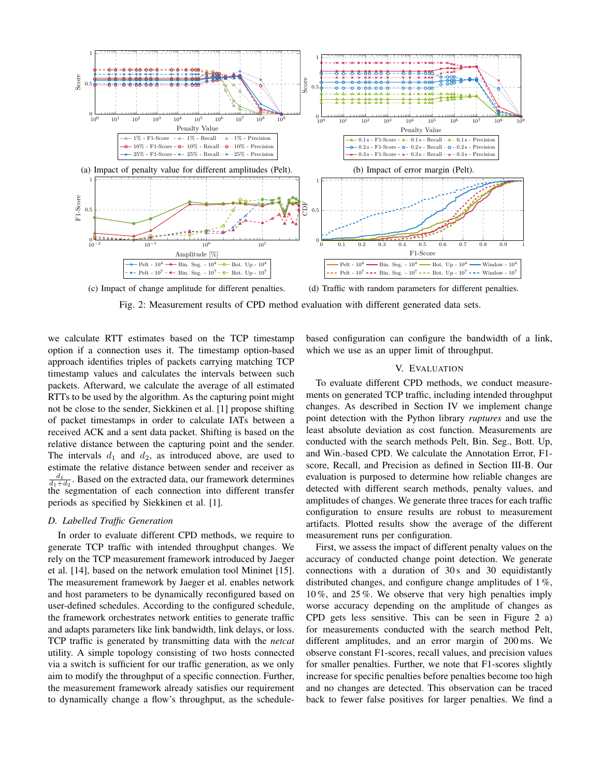

(c) Impact of change amplitude for different penalties.

(d) Traffic with random parameters for different penalties.

Fig. 2: Measurement results of CPD method evaluation with different generated data sets.

we calculate RTT estimates based on the TCP timestamp option if a connection uses it. The timestamp option-based approach identifies triples of packets carrying matching TCP timestamp values and calculates the intervals between such packets. Afterward, we calculate the average of all estimated RTTs to be used by the algorithm. As the capturing point might not be close to the sender, Siekkinen et al. [1] propose shifting of packet timestamps in order to calculate IATs between a received ACK and a sent data packet. Shifting is based on the relative distance between the capturing point and the sender. The intervals  $d_1$  and  $d_2$ , as introduced above, are used to estimate the relative distance between sender and receiver as  $\frac{d_1}{d_1+d_2}$ . Based on the extracted data, our framework determines the segmentation of each connection into different transfer periods as specified by Siekkinen et al. [1].

# *D. Labelled Traffic Generation*

In order to evaluate different CPD methods, we require to generate TCP traffic with intended throughput changes. We rely on the TCP measurement framework introduced by Jaeger et al. [14], based on the network emulation tool Mininet [15]. The measurement framework by Jaeger et al. enables network and host parameters to be dynamically reconfigured based on user-defined schedules. According to the configured schedule, the framework orchestrates network entities to generate traffic and adapts parameters like link bandwidth, link delays, or loss. TCP traffic is generated by transmitting data with the *netcat* utility. A simple topology consisting of two hosts connected via a switch is sufficient for our traffic generation, as we only aim to modify the throughput of a specific connection. Further, the measurement framework already satisfies our requirement to dynamically change a flow's throughput, as the schedulebased configuration can configure the bandwidth of a link, which we use as an upper limit of throughput.

#### V. EVALUATION

To evaluate different CPD methods, we conduct measurements on generated TCP traffic, including intended throughput changes. As described in Section IV we implement change point detection with the Python library *ruptures* and use the least absolute deviation as cost function. Measurements are conducted with the search methods Pelt, Bin. Seg., Bott. Up, and Win.-based CPD. We calculate the Annotation Error, F1 score, Recall, and Precision as defined in Section III-B. Our evaluation is purposed to determine how reliable changes are detected with different search methods, penalty values, and amplitudes of changes. We generate three traces for each traffic configuration to ensure results are robust to measurement artifacts. Plotted results show the average of the different measurement runs per configuration.

First, we assess the impact of different penalty values on the accuracy of conducted change point detection. We generate connections with a duration of  $30 s$  and  $30$  equidistantly distributed changes, and configure change amplitudes of 1 %, 10 %, and 25 %. We observe that very high penalties imply worse accuracy depending on the amplitude of changes as CPD gets less sensitive. This can be seen in Figure 2 a) for measurements conducted with the search method Pelt, different amplitudes, and an error margin of 200 ms. We observe constant F1-scores, recall values, and precision values for smaller penalties. Further, we note that F1-scores slightly increase for specific penalties before penalties become too high and no changes are detected. This observation can be traced back to fewer false positives for larger penalties. We find a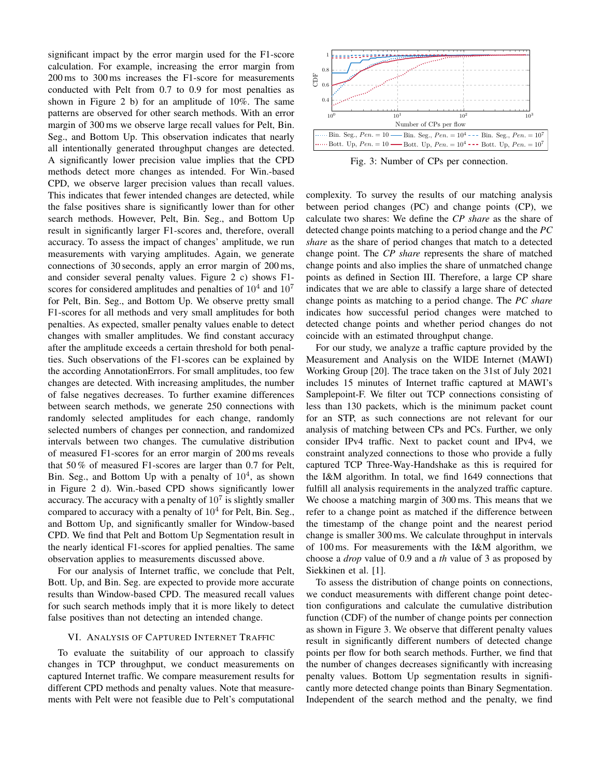significant impact by the error margin used for the F1-score calculation. For example, increasing the error margin from 200 ms to 300 ms increases the F1-score for measurements conducted with Pelt from 0.7 to 0.9 for most penalties as shown in Figure 2 b) for an amplitude of 10%. The same patterns are observed for other search methods. With an error margin of 300 ms we observe large recall values for Pelt, Bin. Seg., and Bottom Up. This observation indicates that nearly all intentionally generated throughput changes are detected. A significantly lower precision value implies that the CPD methods detect more changes as intended. For Win.-based CPD, we observe larger precision values than recall values. This indicates that fewer intended changes are detected, while the false positives share is significantly lower than for other search methods. However, Pelt, Bin. Seg., and Bottom Up result in significantly larger F1-scores and, therefore, overall accuracy. To assess the impact of changes' amplitude, we run measurements with varying amplitudes. Again, we generate connections of 30 seconds, apply an error margin of 200 ms, and consider several penalty values. Figure 2 c) shows F1 scores for considered amplitudes and penalties of  $10^4$  and  $10^7$ for Pelt, Bin. Seg., and Bottom Up. We observe pretty small F1-scores for all methods and very small amplitudes for both penalties. As expected, smaller penalty values enable to detect changes with smaller amplitudes. We find constant accuracy after the amplitude exceeds a certain threshold for both penalties. Such observations of the F1-scores can be explained by the according AnnotationErrors. For small amplitudes, too few changes are detected. With increasing amplitudes, the number of false negatives decreases. To further examine differences between search methods, we generate 250 connections with randomly selected amplitudes for each change, randomly selected numbers of changes per connection, and randomized intervals between two changes. The cumulative distribution of measured F1-scores for an error margin of 200 ms reveals that 50 % of measured F1-scores are larger than 0.7 for Pelt, Bin. Seg., and Bottom Up with a penalty of  $10^4$ , as shown in Figure 2 d). Win.-based CPD shows significantly lower accuracy. The accuracy with a penalty of  $10<sup>7</sup>$  is slightly smaller compared to accuracy with a penalty of  $10<sup>4</sup>$  for Pelt, Bin. Seg., and Bottom Up, and significantly smaller for Window-based CPD. We find that Pelt and Bottom Up Segmentation result in the nearly identical F1-scores for applied penalties. The same observation applies to measurements discussed above.

For our analysis of Internet traffic, we conclude that Pelt, Bott. Up, and Bin. Seg. are expected to provide more accurate results than Window-based CPD. The measured recall values for such search methods imply that it is more likely to detect false positives than not detecting an intended change.

## VI. ANALYSIS OF CAPTURED INTERNET TRAFFIC

To evaluate the suitability of our approach to classify changes in TCP throughput, we conduct measurements on captured Internet traffic. We compare measurement results for different CPD methods and penalty values. Note that measurements with Pelt were not feasible due to Pelt's computational



Fig. 3: Number of CPs per connection.

complexity. To survey the results of our matching analysis between period changes (PC) and change points (CP), we calculate two shares: We define the *CP share* as the share of detected change points matching to a period change and the *PC share* as the share of period changes that match to a detected change point. The *CP share* represents the share of matched change points and also implies the share of unmatched change points as defined in Section III. Therefore, a large CP share indicates that we are able to classify a large share of detected change points as matching to a period change. The *PC share* indicates how successful period changes were matched to detected change points and whether period changes do not coincide with an estimated throughput change.

For our study, we analyze a traffic capture provided by the Measurement and Analysis on the WIDE Internet (MAWI) Working Group [20]. The trace taken on the 31st of July 2021 includes 15 minutes of Internet traffic captured at MAWI's Samplepoint-F. We filter out TCP connections consisting of less than 130 packets, which is the minimum packet count for an STP, as such connections are not relevant for our analysis of matching between CPs and PCs. Further, we only consider IPv4 traffic. Next to packet count and IPv4, we constraint analyzed connections to those who provide a fully captured TCP Three-Way-Handshake as this is required for the I&M algorithm. In total, we find 1649 connections that fulfill all analysis requirements in the analyzed traffic capture. We choose a matching margin of 300 ms. This means that we refer to a change point as matched if the difference between the timestamp of the change point and the nearest period change is smaller 300 ms. We calculate throughput in intervals of 100 ms. For measurements with the I&M algorithm, we choose a *drop* value of 0.9 and a *th* value of 3 as proposed by Siekkinen et al. [1].

To assess the distribution of change points on connections, we conduct measurements with different change point detection configurations and calculate the cumulative distribution function (CDF) of the number of change points per connection as shown in Figure 3. We observe that different penalty values result in significantly different numbers of detected change points per flow for both search methods. Further, we find that the number of changes decreases significantly with increasing penalty values. Bottom Up segmentation results in significantly more detected change points than Binary Segmentation. Independent of the search method and the penalty, we find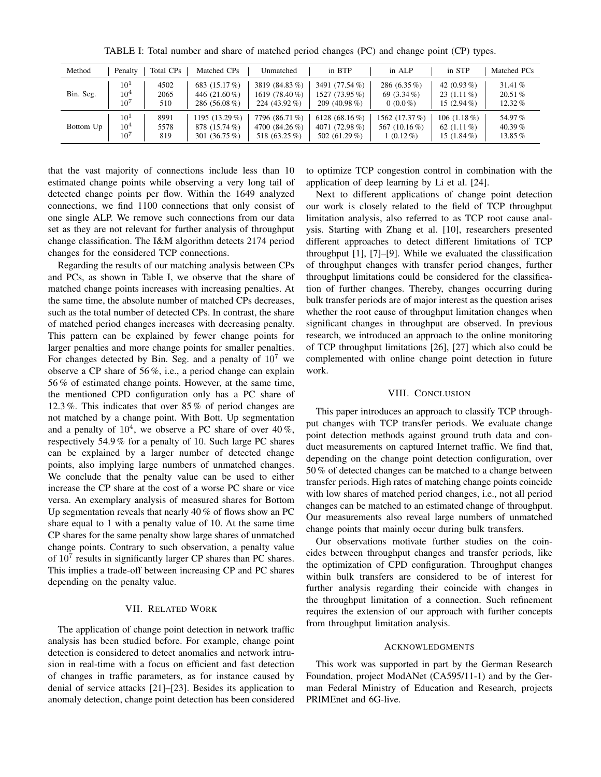| Method    | Penalty         | Total CPs | Matched CPs     | Unmatched        | in BTP           | in ALP         | in STP         | Matched PCs |
|-----------|-----------------|-----------|-----------------|------------------|------------------|----------------|----------------|-------------|
| Bin. Seg. | $10^{1}$        | 4502      | 683 (15.17 %)   | 3819 (84.83 %)   | 3491 (77.54 %)   | 286 $(6.35\%)$ | 42 $(0.93\%)$  | 31.41 %     |
|           | $10^4$          | 2065      | 446 (21.60 %)   | 1619 (78.40 %)   | 1527 (73.95 %)   | 69 $(3.34\%)$  | $23(1.11\%)$   | $20.51\%$   |
|           | $10^{7}$        | 510       | 286 (56.08 %)   | 224 $(43.92\% )$ | 209 (40.98 $%$ ) | $0(0.0\%)$     | 15 $(2.94\%)$  | $12.32\%$   |
| Bottom Up | $10^{1}$        | 8991      | 1195 (13.29 %)  | 7796 (86.71 %)   | 6128 $(68.16\%)$ | 1562 (17.37 %) | 106 $(1.18\%)$ | 54.97%      |
|           | 10 <sup>4</sup> | 5578      | 878 (15.74 %)   | 4700 (84.26 %)   | 4071 (72.98%)    | 567 (10.16 %)  | 62 $(1.11\%)$  | 40.39 $%$   |
|           | $10^7$          | 819       | 301 $(36.75\%)$ | 518 (63.25 %)    | 502 $(61.29\%)$  | $1(0.12\%)$    | 15 $(1.84\%)$  | 13.85%      |

TABLE I: Total number and share of matched period changes (PC) and change point (CP) types.

that the vast majority of connections include less than 10 estimated change points while observing a very long tail of detected change points per flow. Within the 1649 analyzed connections, we find 1100 connections that only consist of one single ALP. We remove such connections from our data set as they are not relevant for further analysis of throughput change classification. The I&M algorithm detects 2174 period changes for the considered TCP connections.

Regarding the results of our matching analysis between CPs and PCs, as shown in Table I, we observe that the share of matched change points increases with increasing penalties. At the same time, the absolute number of matched CPs decreases, such as the total number of detected CPs. In contrast, the share of matched period changes increases with decreasing penalty. This pattern can be explained by fewer change points for larger penalties and more change points for smaller penalties. For changes detected by Bin. Seg. and a penalty of  $10<sup>7</sup>$  we observe a CP share of 56 %, i.e., a period change can explain 56 % of estimated change points. However, at the same time, the mentioned CPD configuration only has a PC share of 12.3 %. This indicates that over 85 % of period changes are not matched by a change point. With Bott. Up segmentation and a penalty of  $10^4$ , we observe a PC share of over  $40\%$ , respectively 54.9 % for a penalty of 10. Such large PC shares can be explained by a larger number of detected change points, also implying large numbers of unmatched changes. We conclude that the penalty value can be used to either increase the CP share at the cost of a worse PC share or vice versa. An exemplary analysis of measured shares for Bottom Up segmentation reveals that nearly 40 % of flows show an PC share equal to 1 with a penalty value of 10. At the same time CP shares for the same penalty show large shares of unmatched change points. Contrary to such observation, a penalty value of  $10^7$  results in significantly larger CP shares than PC shares. This implies a trade-off between increasing CP and PC shares depending on the penalty value.

## VII. RELATED WORK

The application of change point detection in network traffic analysis has been studied before. For example, change point detection is considered to detect anomalies and network intrusion in real-time with a focus on efficient and fast detection of changes in traffic parameters, as for instance caused by denial of service attacks [21]–[23]. Besides its application to anomaly detection, change point detection has been considered to optimize TCP congestion control in combination with the application of deep learning by Li et al. [24].

Next to different applications of change point detection our work is closely related to the field of TCP throughput limitation analysis, also referred to as TCP root cause analysis. Starting with Zhang et al. [10], researchers presented different approaches to detect different limitations of TCP throughput [1], [7]–[9]. While we evaluated the classification of throughput changes with transfer period changes, further throughput limitations could be considered for the classification of further changes. Thereby, changes occurring during bulk transfer periods are of major interest as the question arises whether the root cause of throughput limitation changes when significant changes in throughput are observed. In previous research, we introduced an approach to the online monitoring of TCP throughput limitations [26], [27] which also could be complemented with online change point detection in future work.

#### VIII. CONCLUSION

This paper introduces an approach to classify TCP throughput changes with TCP transfer periods. We evaluate change point detection methods against ground truth data and conduct measurements on captured Internet traffic. We find that, depending on the change point detection configuration, over 50 % of detected changes can be matched to a change between transfer periods. High rates of matching change points coincide with low shares of matched period changes, i.e., not all period changes can be matched to an estimated change of throughput. Our measurements also reveal large numbers of unmatched change points that mainly occur during bulk transfers.

Our observations motivate further studies on the coincides between throughput changes and transfer periods, like the optimization of CPD configuration. Throughput changes within bulk transfers are considered to be of interest for further analysis regarding their coincide with changes in the throughput limitation of a connection. Such refinement requires the extension of our approach with further concepts from throughput limitation analysis.

#### ACKNOWLEDGMENTS

This work was supported in part by the German Research Foundation, project ModANet (CA595/11-1) and by the German Federal Ministry of Education and Research, projects PRIMEnet and 6G-live.